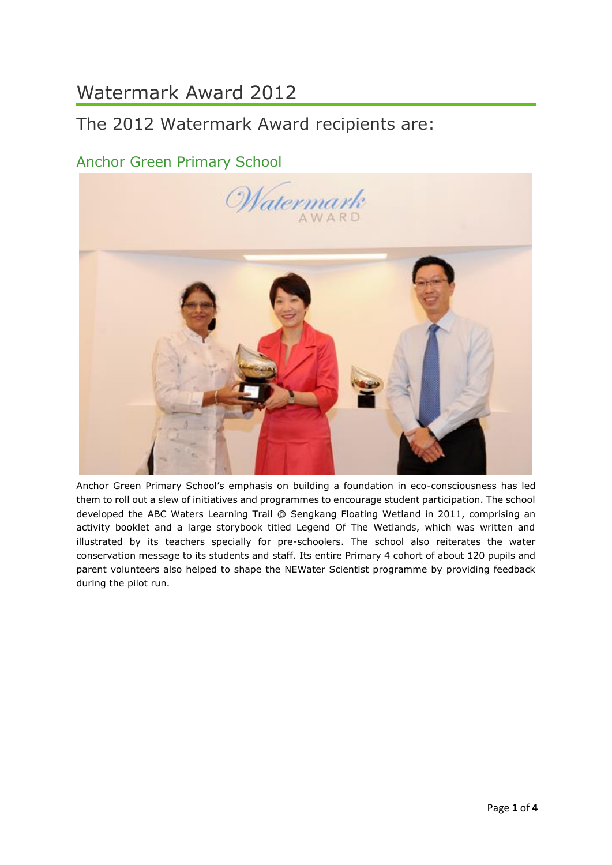# Watermark Award 2012

# The 2012 Watermark Award recipients are:

### Anchor Green Primary School



Anchor Green Primary School's emphasis on building a foundation in eco-consciousness has led them to roll out a slew of initiatives and programmes to encourage student participation. The school developed the ABC Waters Learning Trail @ Sengkang Floating Wetland in 2011, comprising an activity booklet and a large storybook titled Legend Of The Wetlands, which was written and illustrated by its teachers specially for pre-schoolers. The school also reiterates the water conservation message to its students and staff. Its entire Primary 4 cohort of about 120 pupils and parent volunteers also helped to shape the NEWater Scientist programme by providing feedback during the pilot run.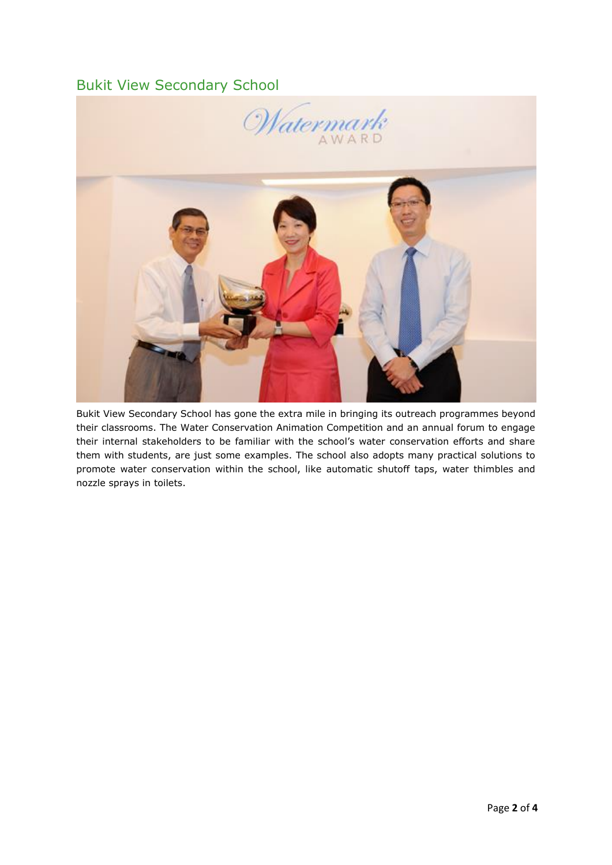#### Bukit View Secondary School



Bukit View Secondary School has gone the extra mile in bringing its outreach programmes beyond their classrooms. The Water Conservation Animation Competition and an annual forum to engage their internal stakeholders to be familiar with the school's water conservation efforts and share them with students, are just some examples. The school also adopts many practical solutions to promote water conservation within the school, like automatic shutoff taps, water thimbles and nozzle sprays in toilets.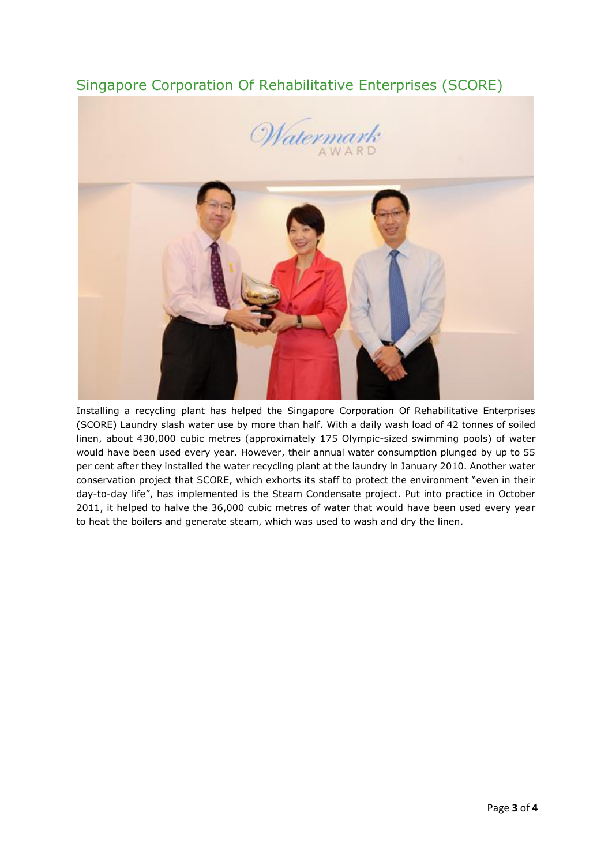## Singapore Corporation Of Rehabilitative Enterprises (SCORE)





Installing a recycling plant has helped the Singapore Corporation Of Rehabilitative Enterprises (SCORE) Laundry slash water use by more than half. With a daily wash load of 42 tonnes of soiled linen, about 430,000 cubic metres (approximately 175 Olympic-sized swimming pools) of water would have been used every year. However, their annual water consumption plunged by up to 55 per cent after they installed the water recycling plant at the laundry in January 2010. Another water conservation project that SCORE, which exhorts its staff to protect the environment "even in their day-to-day life", has implemented is the Steam Condensate project. Put into practice in October 2011, it helped to halve the 36,000 cubic metres of water that would have been used every year to heat the boilers and generate steam, which was used to wash and dry the linen.